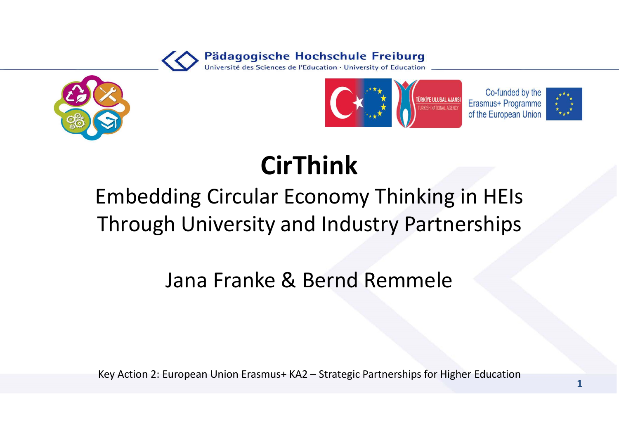





### CirThink

## Embedding Circular Economy Thinking in HEIs Through University and Industry Partnerships Embedding Circular Economy Thinking in HEIs<br>Through University and Industry Partnerships<br>Jana Franke & Bernd Remmele<br>Key Action 2: European Union Erasmus+ KA2 – Strategic Partnerships for Higher Education

#### Jana Franke & Bernd Remmele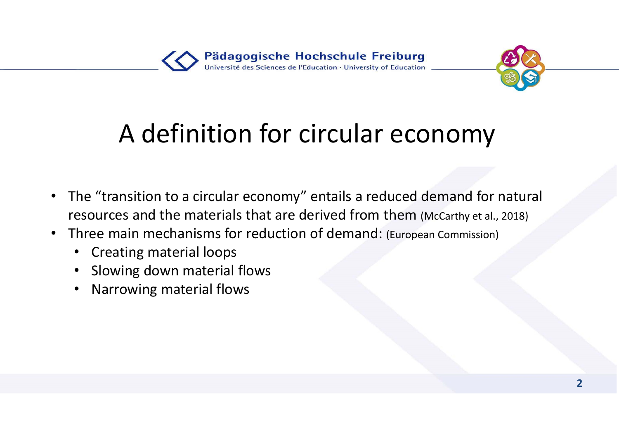

### A definition for circular economy

- The "transition to a circular economy" entails a reduced demand for natural resources and the materials that are derived from them (McCarthy et al., 2018)
- Three main mechanisms for reduction of demand: (European Commission)
	- Creating material loops
	- Slowing down material flows
	- Narrowing material flows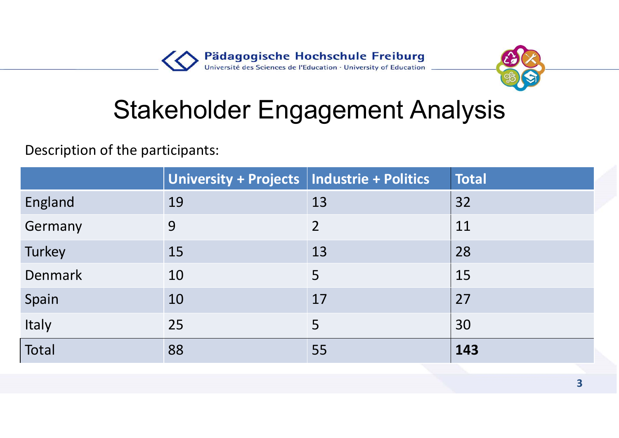

#### Stakeholder Engagement Analysis

|                                        |                                              | Pädagogische Hochschule Freiburg<br>Université des Sciences de l'Education · University of Education |              |                         |
|----------------------------------------|----------------------------------------------|------------------------------------------------------------------------------------------------------|--------------|-------------------------|
| <b>Stakeholder Engagement Analysis</b> |                                              |                                                                                                      |              |                         |
| Description of the participants:       |                                              |                                                                                                      |              |                         |
|                                        | University + Projects   Industrie + Politics |                                                                                                      | <b>Total</b> |                         |
| England                                | 19                                           | 13                                                                                                   | 32           |                         |
| Germany                                | 9                                            | $\overline{2}$                                                                                       | 11           |                         |
| Turkey                                 | 15                                           | 13                                                                                                   | 28           |                         |
| <b>Denmark</b>                         | 10                                           | 5                                                                                                    | 15           |                         |
| Spain                                  | 10                                           | 17                                                                                                   | 27           |                         |
| <b>Italy</b>                           | 25                                           | 5                                                                                                    | 30           |                         |
| Total                                  | 88                                           | 55                                                                                                   | 143          |                         |
|                                        |                                              |                                                                                                      |              | $\overline{\mathbf{3}}$ |
|                                        |                                              |                                                                                                      |              |                         |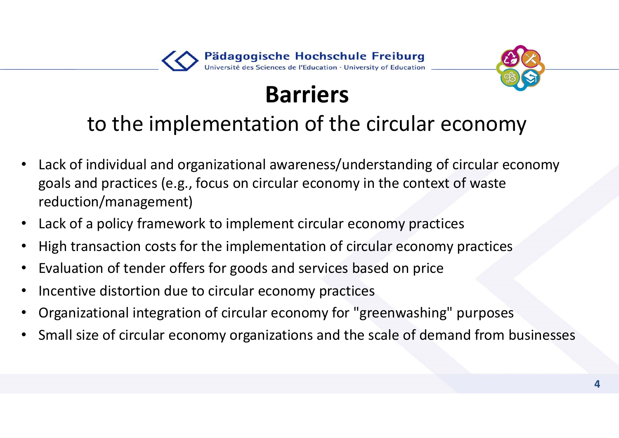#### Pädagogische Hochschule Freiburg Université des Sciences de l'Education · University of Education



#### Barriers

#### to the implementation of the circular economy

- Lack of individual and organizational awareness/understanding of circular economy goals and practices (e.g., focus on circular economy in the context of waste reduction/management)
- Lack of a policy framework to implement circular economy practices
- High transaction costs for the implementation of circular economy practices
- Evaluation of tender offers for goods and services based on price
- Incentive distortion due to circular economy practices
- Organizational integration of circular economy for "greenwashing" purposes
- Small size of circular economy organizations and the scale of demand from businesses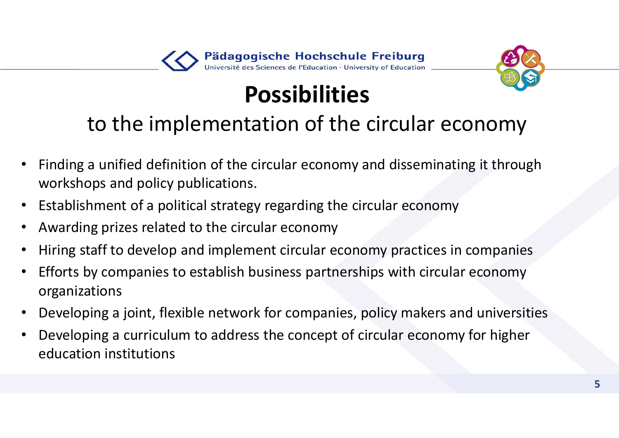#### Pädagogische Hochschule Freiburg Université des Sciences de l'Education · University of Education



#### Possibilities

#### to the implementation of the circular economy

- Finding a unified definition of the circular economy and disseminating it through workshops and policy publications.
- Establishment of a political strategy regarding the circular economy
- Awarding prizes related to the circular economy
- Hiring staff to develop and implement circular economy practices in companies
- Efforts by companies to establish business partnerships with circular economy organizations
- Developing a joint, flexible network for companies, policy makers and universities
- Developing a curriculum to address the concept of circular economy for higher education institutions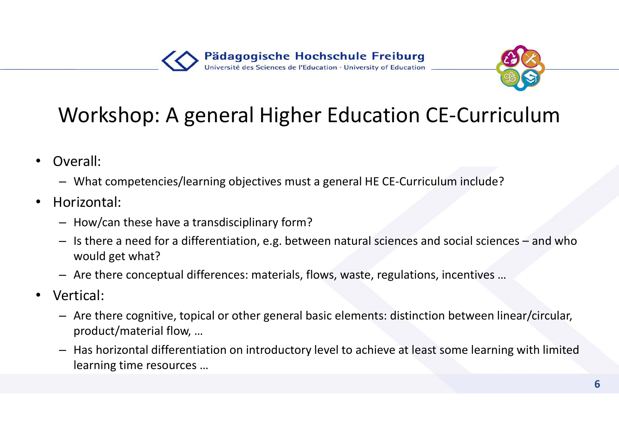

#### Workshop: A general Higher Education CE-Curriculum

- Overall:
	- What competencies/learning objectives must a general HE CE-Curriculum include?
- Horizontal:
	- How/can these have a transdisciplinary form?
- Vorkshop: A general Higher Education CE-Curriculum<br>
Workshop: A general Higher Education CE-Curriculum<br>
Diverall:<br>
 What competencies/learning objectives must a general HE CE-Curriculum include?<br>
 Is there a need for a d would get what?
	- Are there conceptual differences: materials, flows, waste, regulations, incentives …
- Vertical:
	- Are there cognitive, topical or other general basic elements: distinction between linear/circular, product/material flow, …
	- Has horizontal differentiation on introductory level to achieve at least some learning with limited learning time resources …